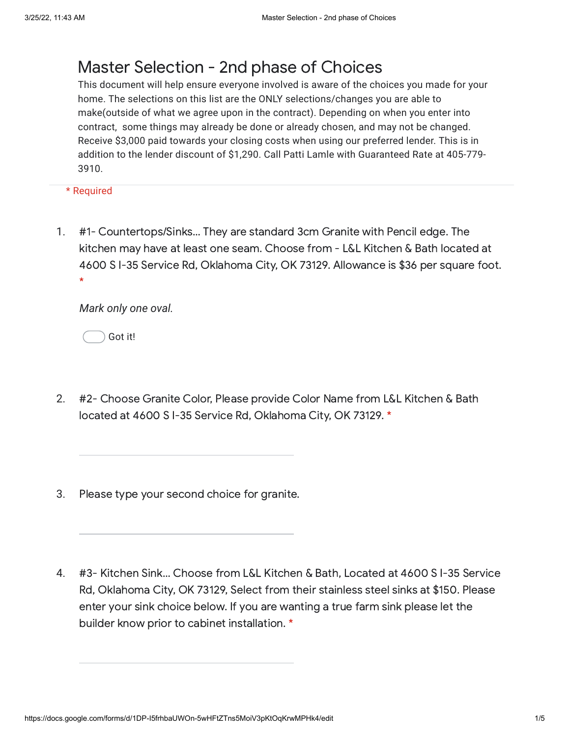## Master Selection - 2nd phase of Choices

This document will help ensure everyone involved is aware of the choices you made for your home. The selections on this list are the ONLY selections/changes you are able to make(outside of what we agree upon in the contract). Depending on when you enter into contract, some things may already be done or already chosen, and may not be changed. Receive \$3,000 paid towards your closing costs when using our preferred lender. This is in addition to the lender discount of \$1,290. Call Patti Lamle with Guaranteed Rate at 405-779- 3910.

\* Required

1. #1- Countertops/Sinks… They are standard 3cm Granite with Pencil edge. The kitchen may have at least one seam. Choose from - L&L Kitchen & Bath located at 4600 S I-35 Service Rd, Oklahoma City, OK 73129. Allowance is \$36 per square foot. \*

*Mark only one oval.*

Got it!

- 2. #2- Choose Granite Color, Please provide Color Name from L&L Kitchen & Bath located at 4600 S I-35 Service Rd, Oklahoma City, OK 73129. \*
- 3. Please type your second choice for granite.
- 4. #3- Kitchen Sink… Choose from L&L Kitchen & Bath, Located at 4600 S I-35 Service Rd, Oklahoma City, OK 73129, Select from their stainless steel sinks at \$150. Please enter your sink choice below. If you are wanting a true farm sink please let the builder know prior to cabinet installation. \*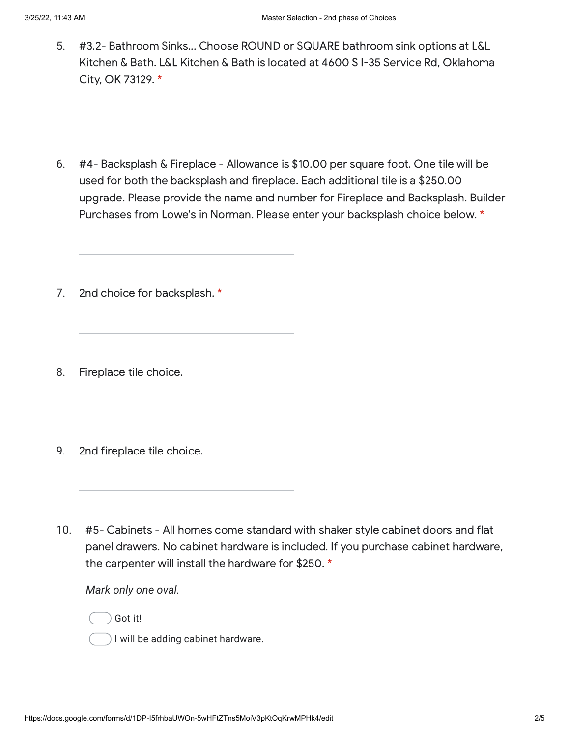- 5. #3.2- Bathroom Sinks... Choose ROUND or SQUARE bathroom sink options at L&L Kitchen & Bath. L&L Kitchen & Bath is located at 4600 S I-35 Service Rd, Oklahoma City, OK 73129. \*
- 6. #4- Backsplash & Fireplace - Allowance is \$10.00 per square foot. One tile will be used for both the backsplash and fireplace. Each additional tile is a \$250.00 upgrade. Please provide the name and number for Fireplace and Backsplash. Builder Purchases from Lowe's in Norman. Please enter your backsplash choice below. \*
- 7. 2nd choice for backsplash. \*
- 8. Fireplace tile choice.
- 9. 2nd fireplace tile choice.
- 10. #5- Cabinets - All homes come standard with shaker style cabinet doors and flat panel drawers. No cabinet hardware is included. If you purchase cabinet hardware, the carpenter will install the hardware for \$250. \*

*Mark only one oval.*

Got it!

I will be adding cabinet hardware.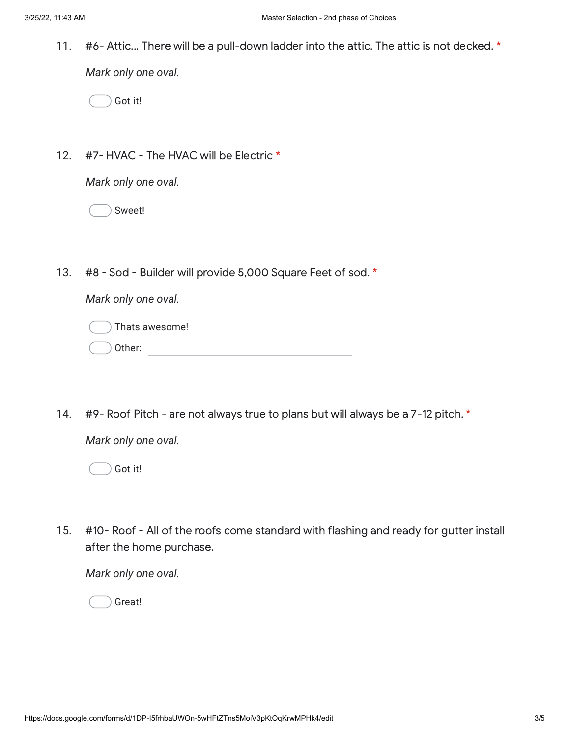11. #6- Attic... There will be a pull-down ladder into the attic. The attic is not decked. \*

*Mark only one oval.*

Got it!

12. #7- HVAC - The HVAC will be Electric \*

*Mark only one oval.*

Sweet!

13. #8 - Sod - Builder will provide 5,000 Square Feet of sod. \*

*Mark only one oval.*

Other: Thats awesome!

14. #9- Roof Pitch - are not always true to plans but will always be a 7-12 pitch. \*

*Mark only one oval.*

Got it!

15. #10- Roof - All of the roofs come standard with flashing and ready for gutter install after the home purchase.

*Mark only one oval.*

Great!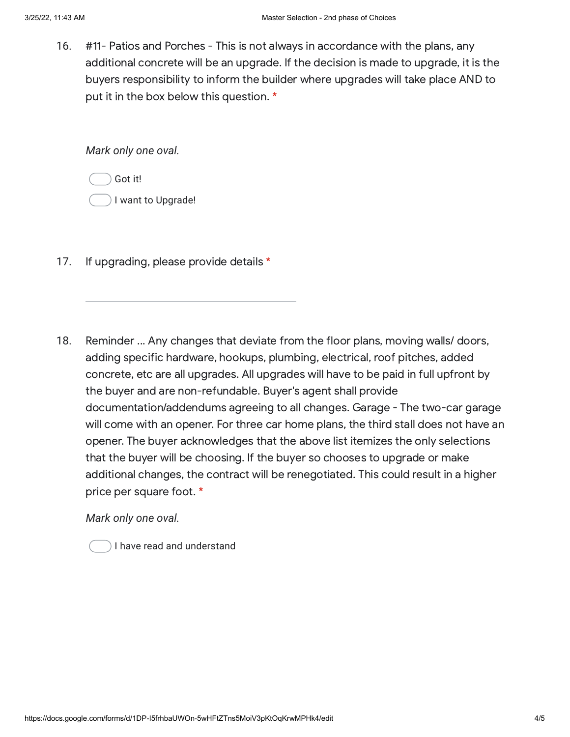16. #11- Patios and Porches - This is not always in accordance with the plans, any additional concrete will be an upgrade. If the decision is made to upgrade, it is the buyers responsibility to inform the builder where upgrades will take place AND to put it in the box below this question. \*

*Mark only one oval.*

Got it!

I want to Upgrade!

- 17. If upgrading, please provide details \*
- 18. Reminder ... Any changes that deviate from the floor plans, moving walls/ doors, adding specific hardware, hookups, plumbing, electrical, roof pitches, added concrete, etc are all upgrades. All upgrades will have to be paid in full upfront by the buyer and are non-refundable. Buyer's agent shall provide documentation/addendums agreeing to all changes. Garage - The two-car garage will come with an opener. For three car home plans, the third stall does not have an opener. The buyer acknowledges that the above list itemizes the only selections that the buyer will be choosing. If the buyer so chooses to upgrade or make additional changes, the contract will be renegotiated. This could result in a higher price per square foot. \*

*Mark only one oval.*

I have read and understand